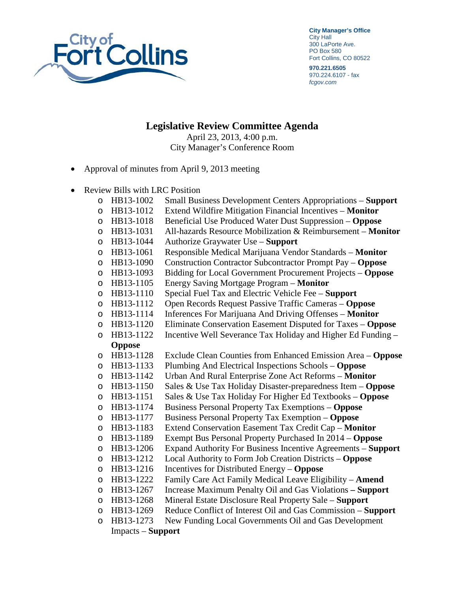

**City Manager's Office** City Hall 300 LaPorte Ave. PO Box 580 Fort Collins, CO 80522

**970.221.6505** 970.224.6107 - fax *fcgov.com*

**Legislative Review Committee Agenda**

April 23, 2013, 4:00 p.m. City Manager's Conference Room

- Approval of minutes from April 9, 2013 meeting
- Review Bills with LRC Position
	- o HB13-1002 Small Business Development Centers Appropriations **Support**
	- o HB13-1012 Extend Wildfire Mitigation Financial Incentives **Monitor**
	-
	- o HB13-1018 Beneficial Use Produced Water Dust Suppression **Oppose**  HB13-1031 All-hazards Resource Mobilization & Reimbursement – **Monitor**<br>HB13-1044 Authorize Graywater Use – **Support**
	-
	- o HB13-1044 Authorize Graywater Use **Support**  o HB13-1061 Responsible Medical Marijuana Vendor Standards – **Monitor**
	- o HB13-1090 Construction Contractor Subcontractor Prompt Pay **Oppose**
	- o HB13-1093 Bidding for Local Government Procurement Projects **Oppose**
	-
	- o HB13-1105 Energy Saving Mortgage Program **Monitor**
	- o HB13-1110 Special Fuel Tax and Electric Vehicle Fee **Support**
	- HB13-1112 Open Records Request Passive Traffic Cameras **Oppose**<br>HB13-1114 Inferences For Marijuana And Driving Offenses **Monitor** o HB13-1114 Inferences For Marijuana And Driving Offenses – **Monitor**
	-
	- o HB13-1120 Eliminate Conservation Easement Disputed for Taxes **Oppose**   $\circ$  HB13-1122 Incentive Well Severance Tax Holiday and Higher Ed Funding –

## **Oppose**

- o HB13-1128 Exclude Clean Counties from Enhanced Emission Area **Oppose**
- o HB13-1133 Plumbing And Electrical Inspections Schools **Oppose**
- 
- o HB13-1142 Urban And Rural Enterprise Zone Act Reforms **Monitor**
- o HB13-1150 Sales & Use Tax Holiday Disaster-preparedness Item **Oppose**  o HB13-1151 Sales & Use Tax Holiday For Higher Ed Textbooks – **Oppose**
- 
- o HB13-1174 Business Personal Property Tax Exemptions **Oppose**
- o HB13-1177 Business Personal Property Tax Exemption **Oppose**
- o HB13-1183 Extend Conservation Easement Tax Credit Cap **Monitor**
- o HB13-1189 Exempt Bus Personal Property Purchased In 2014 **Oppose**
- o HB13-1206 Expand Authority For Business Incentive Agreements **Support** o HB13-1212 Local Authority to Form Job Creation Districts – **Oppose**
- 
- o HB13-1216 Incentives for Distributed Energy **Oppose**
- o HB13-1222 Family Care Act Family Medical Leave Eligibility **Amend** o HB13-1267 Increase Maximum Penalty Oil and Gas Violations **– Support**
- 
- o HB13-1268 Mineral Estate Disclosure Real Property Sale **Support**
- o HB13-1269 Reduce Conflict of Interest Oil and Gas Commission **Support**  o HB13-1273 New Funding Local Governments Oil and Gas Development

```
Impacts – Support
```